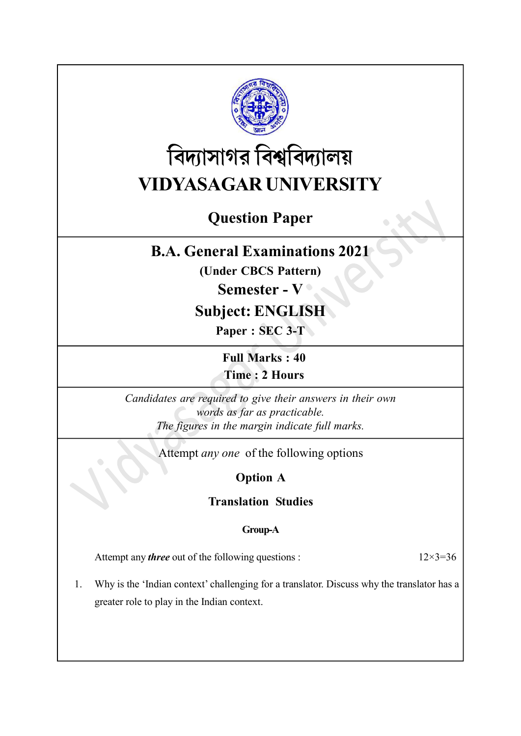

# বিদ্যাসাগর বিশ্ববিদ্যালয় VIDYASAGAR UNIVERSITY

# Question Paper

## B.A. General Examinations 2021

(Under CBCS Pattern)

### Semester - V ·

### Subject: ENGLISH

Paper : SEC 3-T

Full Marks : 40 Time : 2 Hours

Candidates are required to give their answers in their own words as far as practicable. The figures in the margin indicate full marks.

Attempt any one of the following options

Option A

Translation Studies

#### Group-A

Attempt any *three* out of the following questions :  $12 \times 3 = 36$ 

1. Why is the 'Indian context' challenging for a translator. Discuss why the translator has a greater role to play in the Indian context.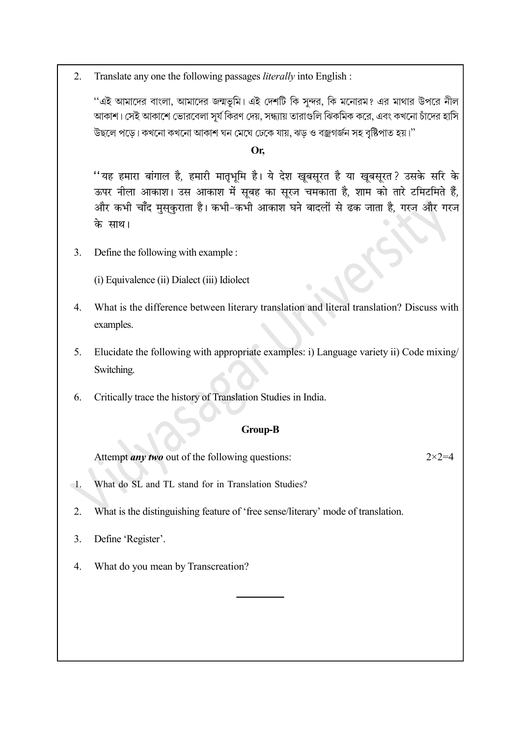2. Translate any one the following passages *literally* into English :

''এই আমাদের বাংলা, আমাদের জন্মভূমি। এই দেশটি কি সুন্দর, কি মনোরম? এর মাথার উপরে নীল আকাশ। সেই আকাশে ভোরবেলা সূর্য কিরণ দেয়, সন্ধ্যায় তারাগুলি ঝিকমিক করে, এবং কখনো চাঁদের হাসি উছলে পড়ে। কখনো কখনো আকাশ ঘন মেঘে ঢেকে যায়, ঝড় ও বজ্ৰগৰ্জন সহ বৃষ্টিপাত হয়।''

#### Or.

''यह हमारा बांगाल है, हमारी मातृभूमि है। ये देश खूबसूरत है या खूबसूरत? उसके सरि के ऊपर नीला आकाश। उस आकाश में सूबह का सूरज चमकाता है, शाम को तारे टमिटमिते हैं, और कभी चाँद मुसकुराता है। कभी-कभी आकाश घने बादलों से ढक जाता है, गरज और गरज के साथ।

 $3.$ Define the following with example :

(i) Equivalence (ii) Dialect (iii) Idiolect

- What is the difference between literary translation and literal translation? Discuss with  $\overline{4}$ . examples.
- Elucidate the following with appropriate examples: i) Language variety ii) Code mixing/ 5. Switching.
- Critically trace the history of Translation Studies in India. 6.

#### **Group-B**

 $2 \times 2 = 4$ Attempt *any two* out of the following questions:

- What do SL and TL stand for in Translation Studies?  $\mathbf{\triangleleft}$
- $2.$ What is the distinguishing feature of 'free sense/literary' mode of translation.
- Define 'Register'. 3.
- What do you mean by Transcreation? 4.